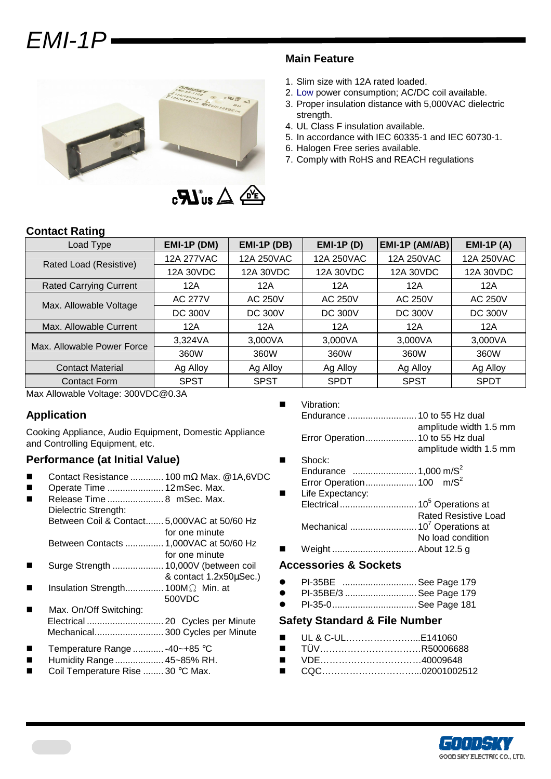# EMI-1P



### **Main Feature**

- 1. Slim size with 12A rated loaded.
- 2. Low power consumption; AC/DC coil available.
- 3. Proper insulation distance with 5,000VAC dielectric strength.
- 4. UL Class F insulation available.
- 5. In accordance with IEC 60335-1 and IEC 60730-1.
- 6. Halogen Free series available.
- 7. Comply with RoHS and REACH regulations

#### **Contact Rating**

| Load Type                     | EMI-1P (DM)    | <b>EMI-1P (DB)</b> | $EMI-1P(D)$    | <b>EMI-1P (AM/AB)</b> | $EMI-1P(A)$    |
|-------------------------------|----------------|--------------------|----------------|-----------------------|----------------|
| Rated Load (Resistive)        | 12A 277VAC     | 12A 250VAC         | 12A 250VAC     | 12A 250VAC            | 12A 250VAC     |
|                               | 12A 30VDC      | 12A 30VDC          | 12A 30VDC      | 12A 30VDC             | 12A 30VDC      |
| <b>Rated Carrying Current</b> | 12A            | 12A                | 12A            | 12A                   | 12A            |
| Max. Allowable Voltage        | <b>AC 277V</b> | <b>AC 250V</b>     | AC 250V        | <b>AC 250V</b>        | AC 250V        |
|                               | <b>DC 300V</b> | <b>DC 300V</b>     | <b>DC 300V</b> | <b>DC 300V</b>        | <b>DC 300V</b> |
| Max. Allowable Current        | 12A            | 12A                | 12A            | 12A                   | 12A            |
| Max. Allowable Power Force    | 3.324VA        | 3.000VA            | 3.000VA        | 3.000VA               | 3.000VA        |
|                               | 360W           | 360W               | 360W           | 360W                  | 360W           |
| <b>Contact Material</b>       | Ag Alloy       | Ag Alloy           | Ag Alloy       | Ag Alloy              | Ag Alloy       |
| <b>Contact Form</b>           | <b>SPST</b>    | <b>SPST</b>        | <b>SPDT</b>    | <b>SPST</b>           | <b>SPDT</b>    |

Max Allowable Voltage: 300VDC@0.3A

#### **Application**

Cooking Appliance, Audio Equipment, Domestic Appliance and Controlling Equipment, etc.

## **Performance (at Initial Value)**

- Contact Resistance ............. 100 mΩ Max. @1A,6VDC
- Operate Time ...................... 12 mSec. Max.
- Release Time ...................... 8 mSec. Max. Dielectric Strength: Between Coil & Contact....... 5,000VAC at 50/60 Hz
	- for one minute Between Contacts ............... 1,000VAC at 50/60 Hz
- for one minute
- Surge Strength .................... 10,000V (between coil & contact 1.2x50µSec.)
- Insulation Strength............... 100MΩ Min. at 500VDC
- Max. On/Off Switching: Electrical .............................. 20 Cycles per Minute Mechanical........................... 300 Cycles per Minute
- Temperature Range ............ -40~+85 °C
- Humidity Range................... 45~85% RH.
- Coil Temperature Rise ........ 30 °C Max.
- Vibration: Endurance ........................... 10 to 55 Hz dual amplitude width 1.5 mm Error Operation.................... 10 to 55 Hz dual amplitude width 1.5 mm
- Shock:
- Endurance ......................... 1,000 m/S<sup>2</sup> Error Operation......................... 100 m/S<sup>2</sup>
- Life Expectancy: Electrical .............................. 10<sup>5</sup> Operations at Rated Resistive Load Mechanical .......................... 10<sup>7</sup> Operations at No load condition
- Weight ................................. About 12.5 g

#### **Accessories & Sockets**

- PI-35BE ............................. See Page 179
- PI-35BE/3 ............................ See Page 179
- PI-35-0.................................. See Page 181

#### **Safety Standard & File Number**

- UL & C-UL………………………E141060
- TÜV…………………………R50006688
- VDE…………………………40009648
- CQC…………………………02001002512

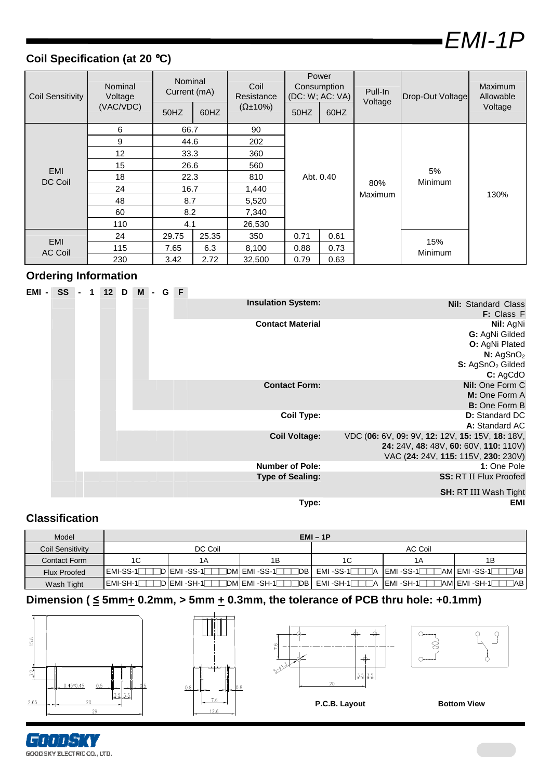# **Coil Specification (at 20** °**C)**

| <b>Coil Sensitivity</b> | Nominal<br>Voltage | Nominal<br>Current (mA) |       | Coil<br>Resistance  | Power<br>Consumption<br>(DC: W; AC: VA) |      | Pull-In<br>Voltage | Drop-Out Voltage | Maximum<br>Allowable |
|-------------------------|--------------------|-------------------------|-------|---------------------|-----------------------------------------|------|--------------------|------------------|----------------------|
|                         | (VAC/VDC)          | 50HZ                    | 60HZ  | $(\Omega \pm 10\%)$ | 50HZ                                    | 60HZ |                    |                  | Voltage              |
|                         | 6                  | 66.7                    |       | 90                  |                                         |      |                    |                  |                      |
| EMI<br>DC Coil          | 9                  | 44.6                    |       | 202                 |                                         |      |                    |                  |                      |
|                         | 12                 | 33.3                    |       | 360                 | Abt. 0.40                               |      |                    | 5%<br>Minimum    | 130%                 |
|                         | 15                 | 26.6                    |       | 560                 |                                         |      |                    |                  |                      |
|                         | 18                 | 22.3                    |       | 810                 |                                         |      | 80%<br>Maximum     |                  |                      |
|                         | 24                 | 16.7                    |       | 1,440               |                                         |      |                    |                  |                      |
|                         | 48                 | 8.7                     |       | 5,520               |                                         |      |                    |                  |                      |
|                         | 60                 | 8.2                     |       | 7,340               |                                         |      |                    |                  |                      |
|                         | 110                | 4.1                     |       | 26,530              |                                         |      |                    |                  |                      |
| EMI<br><b>AC Coil</b>   | 24                 | 29.75                   | 25.35 | 350                 | 0.71                                    | 0.61 |                    |                  |                      |
|                         | 115                | 7.65                    | 6.3   | 8,100               | 0.88<br>0.73                            |      |                    | 15%<br>Minimum   |                      |
|                         | 230                | 3.42                    | 2.72  | 32,500              | 0.79                                    | 0.63 |                    |                  |                      |

EMI-1P

## **Ordering Information**

| EMI - | <b>SS</b> | $\overline{1}$ | $12\quad D$ |  | $M - G F$ |                           |                                                 |
|-------|-----------|----------------|-------------|--|-----------|---------------------------|-------------------------------------------------|
|       |           |                |             |  |           | <b>Insulation System:</b> | <b>Nil: Standard Class</b>                      |
|       |           |                |             |  |           |                           | <b>F:</b> Class F                               |
|       |           |                |             |  |           | <b>Contact Material</b>   | Nil: AgNi                                       |
|       |           |                |             |  |           |                           | G: AgNi Gilded                                  |
|       |           |                |             |  |           |                           | O: AgNi Plated                                  |
|       |           |                |             |  |           |                           | N: AgSnO <sub>2</sub>                           |
|       |           |                |             |  |           |                           | S: AgSnO <sub>2</sub> Gilded                    |
|       |           |                |             |  |           |                           | C: AgCdO                                        |
|       |           |                |             |  |           | <b>Contact Form:</b>      | Nil: One Form C                                 |
|       |           |                |             |  |           |                           | M: One Form A                                   |
|       |           |                |             |  |           |                           | <b>B:</b> One Form B                            |
|       |           |                |             |  |           | <b>Coil Type:</b>         | <b>D:</b> Standard DC                           |
|       |           |                |             |  |           |                           | A: Standard AC                                  |
|       |           |                |             |  |           | <b>Coil Voltage:</b>      | VDC (06: 6V, 09: 9V, 12: 12V, 15: 15V, 18: 18V, |
|       |           |                |             |  |           |                           | 24: 24V, 48: 48V, 60: 60V, 110: 110V)           |
|       |           |                |             |  |           |                           | VAC (24: 24V, 115: 115V, 230: 230V)             |
|       |           |                |             |  |           | <b>Number of Pole:</b>    | 1: One Pole                                     |
|       |           |                |             |  |           | <b>Type of Sealing:</b>   | <b>SS: RT II Flux Proofed</b>                   |
|       |           |                |             |  |           |                           | <b>SH: RT III Wash Tight</b>                    |
|       |           |                |             |  |           | Type:                     | EMI                                             |

#### **Classification**

| Model                   | $EMI - 1P$         |               |                |                                 |             |                          |  |  |  |  |  |  |
|-------------------------|--------------------|---------------|----------------|---------------------------------|-------------|--------------------------|--|--|--|--|--|--|
| <b>Coil Sensitivity</b> |                    | DC Coil       |                | AC Coil                         |             |                          |  |  |  |  |  |  |
| Contact Form            | 1C                 | 1 A           | 1В             | 1C                              | 1Α          | 1Β                       |  |  |  |  |  |  |
| <b>Flux Proofed</b>     | IEMI-SS-1⊺         | ⊺DIEMI -SS-1⊟ | ]DM∫EMI -SS-1∏ | <b>TDB</b> EMI-SS-1 <sup></sup> | IEMI -SS-1Γ | ∃AMI EMI -SS-1l<br>⊺AB I |  |  |  |  |  |  |
| Wash Tight              | <b>IEMI-SH-1</b> 1 | ไD EMI -SH-1୮ | ∃DM EMI -SH-1⊟ | ∃DBT EMI -SH-1⊟<br>IΑ           | IEMI -SH-1⊟ | ∃AMI EMI -SH-1୮<br>TAB I |  |  |  |  |  |  |

# Dimension ( $\leq$  5mm $\pm$  0.2mm, > 5mm  $\pm$  0.3mm, the tolerance of PCB thru hole: +0.1mm)